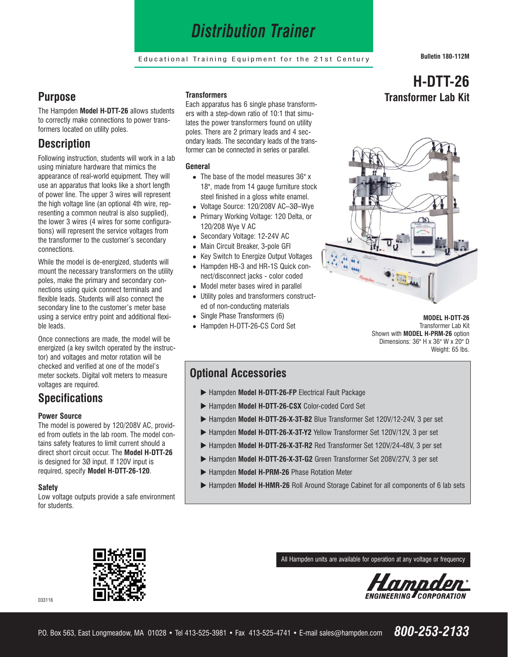# *Distribution Trainer*

Educational Training Equipment for the 21st Century **Bulletin 180-112M**

### **Purpose**

The Hampden **Model H-DTT-26** allows students to correctly make connections to power transformers located on utility poles.

### **Description**

Following instruction, students will work in a lab using miniature hardware that mimics the appearance of real-world equipment. They will use an apparatus that looks like a short length of power line. The upper 3 wires will represent the high voltage line (an optional 4th wire, representing a common neutral is also supplied), the lower 3 wires (4 wires for some configurations) will represent the service voltages from the transformer to the customer's secondary connections.

While the model is de-energized, students will mount the necessary transformers on the utility poles, make the primary and secondary connections using quick connect terminals and flexible leads. Students will also connect the secondary line to the customer's meter base using a service entry point and additional flexible leads.

Once connections are made, the model will be energized (a key switch operated by the instructor) and voltages and motor rotation will be checked and verified at one of the model's meter sockets. Digital volt meters to measure voltages are required.

## **Specifications**

#### **Power Source**

The model is powered by 120/208V AC, provided from outlets in the lab room. The model contains safety features to limit current should a direct short circuit occur. The **Model H-DTT-26** is designed for 3Ø input. If 120V input is required, specify **Model H-DTT-26-120**.

#### **Safety**

Low voltage outputs provide a safe environment for students.

#### **Transformers**

Each apparatus has 6 single phase transformers with a step-down ratio of 10:1 that simulates the power transformers found on utility poles. There are 2 primary leads and 4 secondary leads. The secondary leads of the transformer can be connected in series or parallel.

#### **General**

- The base of the model measures 36" x 18", made from 14 gauge furniture stock steel finished in a gloss white enamel.
- Voltage Source: 120/208V AC–3Ø–Wye
- Primary Working Voltage: 120 Delta, or 120/208 Wye V AC
- Secondary Voltage: 12-24V AC
- Main Circuit Breaker, 3-pole GFI
- Key Switch to Energize Output Voltages • Hampden HB-3 and HR-1S Quick connect/disconnect jacks - color coded
- Model meter bases wired in parallel
- 
- Utility poles and transformers constructed of non-conducting materials
- Single Phase Transformers (6)
- Hampden H-DTT-26-CS Cord Set

## **H-DTT-26 Transformer Lab Kit**



**MODEL H-DTT-26**  Transformer Lab Kit Shown with **MODEL H-PRM-26** option Dimensions: 36" H x 36" W x 20" D Weight: 65 lbs.

### **Optional Accessories**

- Hampden Model H-DTT-26-FP Electrical Fault Package
- u Hampden **Model H-DTT-26-CSX** Color-coded Cord Set
- ▶ Hampden Model H-DTT-26-X-3T-B2 Blue Transformer Set 120V/12-24V, 3 per set
- ▶ Hampden Model H-DTT-26-X-3T-Y2 Yellow Transformer Set 120V/12V, 3 per set
- ▶ Hampden Model H-DTT-26-X-3T-R2 Red Transformer Set 120V/24-48V, 3 per set
- ▶ Hampden Model H-DTT-26-X-3T-G2 Green Transformer Set 208V/27V, 3 per set
- u Hampden **Model H-PRM-26** Phase Rotation Meter
- ▶ Hampden Model H-HMR-26 Roll Around Storage Cabinet for all components of 6 lab sets



All Hampden units are available for operation at any voltage or frequency